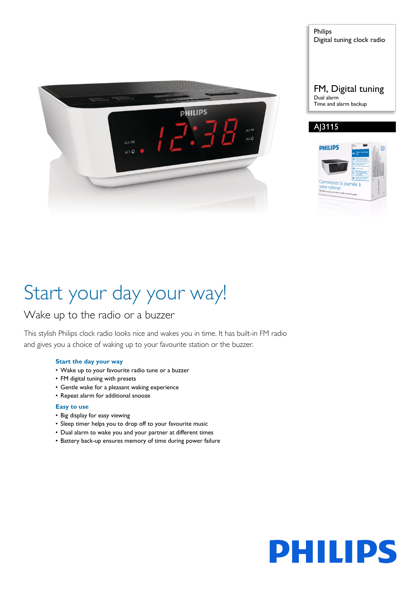

Philips Digital tuning clock radio

#### FM, Digital tuning Dual alarm Time and alarm backup

## A<sub>13115</sub>



# Start your day your way!

## Wake up to the radio or a buzzer

This stylish Philips clock radio looks nice and wakes you in time. It has built-in FM radio and gives you a choice of waking up to your favourite station or the buzzer.

#### **Start the day your way**

- Wake up to your favourite radio tune or a buzzer
- FM digital tuning with presets
- Gentle wake for a pleasant waking experience
- Repeat alarm for additional snooze

#### **Easy to use**

- Big display for easy viewing
- Sleep timer helps you to drop off to your favourite music
- Dual alarm to wake you and your partner at different times
- Battery back-up ensures memory of time during power failure

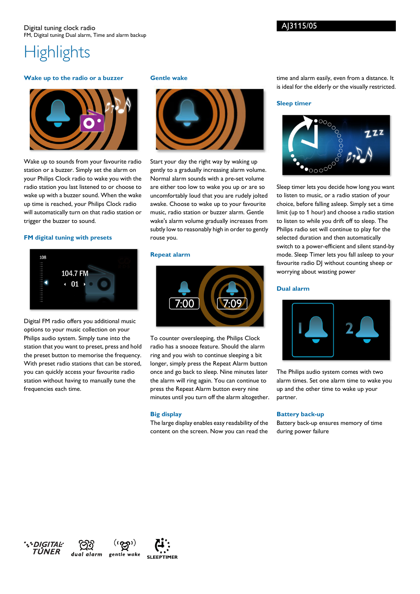#### **Wake up to the radio or a buzzer**



Wake up to sounds from your favourite radio station or a buzzer. Simply set the alarm on your Philips Clock radio to wake you with the radio station you last listened to or choose to wake up with a buzzer sound. When the wake up time is reached, your Philips Clock radio will automatically turn on that radio station or trigger the buzzer to sound.

#### **FM digital tuning with presets**



Digital FM radio offers you additional music options to your music collection on your Philips audio system. Simply tune into the station that you want to preset, press and hold the preset button to memorise the frequency. With preset radio stations that can be stored, you can quickly access your favourite radio station without having to manually tune the frequencies each time.

dual alarm gentle wake

#### **Gentle wake**



Start your day the right way by waking up gently to a gradually increasing alarm volume. Normal alarm sounds with a pre-set volume are either too low to wake you up or are so uncomfortably loud that you are rudely jolted awake. Choose to wake up to your favourite music, radio station or buzzer alarm. Gentle wake's alarm volume gradually increases from subtly low to reasonably high in order to gently rouse you.

#### **Repeat alarm**



To counter oversleeping, the Philips Clock radio has a snooze feature. Should the alarm ring and you wish to continue sleeping a bit longer, simply press the Repeat Alarm button once and go back to sleep. Nine minutes later the alarm will ring again. You can continue to press the Repeat Alarm button every nine minutes until you turn off the alarm altogether.

#### **Big display**

The large display enables easy readability of the content on the screen. Now you can read the

time and alarm easily, even from a distance. It is ideal for the elderly or the visually restricted.

#### **Sleep timer**

AJ3115/05



Sleep timer lets you decide how long you want to listen to music, or a radio station of your choice, before falling asleep. Simply set a time limit (up to 1 hour) and choose a radio station to listen to while you drift off to sleep. The Philips radio set will continue to play for the selected duration and then automatically switch to a power-efficient and silent stand-by mode. Sleep Timer lets you fall asleep to your favourite radio DJ without counting sheep or worrying about wasting power

#### **Dual alarm**



The Philips audio system comes with two alarm times. Set one alarm time to wake you up and the other time to wake up your partner.

#### **Battery back-up**

Battery back-up ensures memory of time during power failure